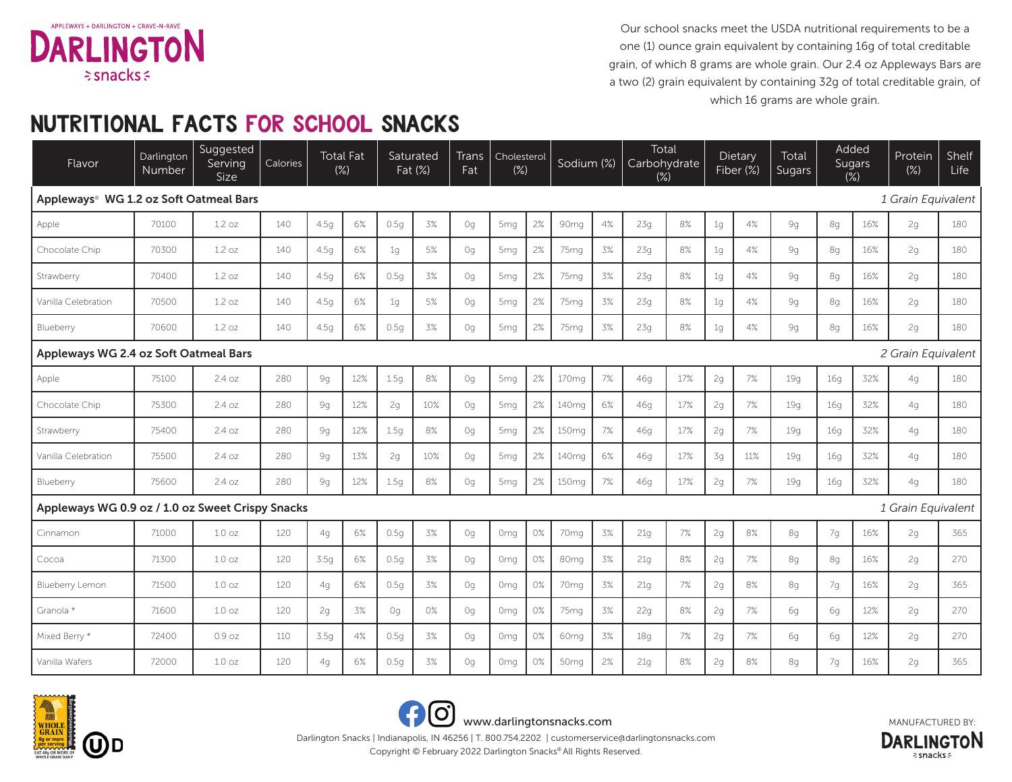

Our school snacks meet the USDA nutritional requirements to be a one (1) ounce grain equivalent by containing 16g of total creditable grain, of which 8 grams are whole grain. Our 2.4 oz Appleways Bars are a two (2) grain equivalent by containing 32g of total creditable grain, of which 16 grams are whole grain.

## NUTRITIONAL FACTS FOR SCHOOL SNACKS

| Flavor                                                                 | Darlington<br>Number | Suggested<br>Serving<br>Size | Calories | $(\%)$ | <b>Total Fat</b> |                | Saturated<br>Fat (%) | <b>Trans</b><br>Fat | Cholesterol<br>$(\%)$ |    | Sodium (%)        |    | Total<br>Carbohydrate<br>$(\%)$ |     |                    | Dietary<br>Fiber (%) | Total<br>Sugars |                 | Added<br><b>Sugars</b><br>$(\%)$ | Protein<br>$(\%)$ | Shelf<br>Life |
|------------------------------------------------------------------------|----------------------|------------------------------|----------|--------|------------------|----------------|----------------------|---------------------|-----------------------|----|-------------------|----|---------------------------------|-----|--------------------|----------------------|-----------------|-----------------|----------------------------------|-------------------|---------------|
| Appleways <sup>®</sup> WG 1.2 oz Soft Oatmeal Bars                     |                      |                              |          |        |                  |                |                      |                     |                       |    |                   |    |                                 |     |                    |                      |                 |                 | 1 Grain Equivalent               |                   |               |
| Apple                                                                  | 70100                | 1.2 oz                       | 140      | 4.5q   | 6%               | 0.5q           | 3%                   | Oq                  | 5 <sub>mq</sub>       | 2% | 90 <sub>mq</sub>  | 4% | 23q                             | 8%  | 1q                 | 4%                   | 9g              | 8q              | 16%                              | 2q                | 180           |
| Chocolate Chip                                                         | 70300                | 1.2 oz                       | 140      | 4.5q   | 6%               | 1 <sub>q</sub> | 5%                   | Oq                  | 5 <sub>mg</sub>       | 2% | 75 <sub>mq</sub>  | 3% | 23q                             | 8%  | 1 <sub>g</sub>     | 4%                   | 9g              | 8q              | 16%                              | 2q                | 180           |
| Strawberry                                                             | 70400                | 1.2 oz                       | 140      | 4.5q   | 6%               | 0.5q           | 3%                   | Oq                  | 5 <sub>mq</sub>       | 2% | 75 <sub>mq</sub>  | 3% | 23q                             | 8%  | 1q                 | 4%                   | 9g              | 8q              | 16%                              | 2q                | 180           |
| Vanilla Celebration                                                    | 70500                | 1.2 oz                       | 140      | 4.5g   | 6%               | 1 <sub>g</sub> | 5%                   | Oq                  | 5 <sub>mq</sub>       | 2% | 75 <sub>mg</sub>  | 3% | 23g                             | 8%  | 1 <sub>g</sub>     | 4%                   | 9g              | 8g              | 16%                              | 2g                | 180           |
| Blueberry                                                              | 70600                | 1.2 oz                       | 140      | 4.5q   | 6%               | 0.5q           | 3%                   | Oq                  | 5 <sub>mg</sub>       | 2% | 75 <sub>mg</sub>  | 3% | 23q                             | 8%  | 1q                 | 4%                   | 9g              | 8q              | 16%                              | 2q                | 180           |
| Appleways WG 2.4 oz Soft Oatmeal Bars                                  |                      |                              |          |        |                  |                |                      |                     |                       |    |                   |    |                                 |     | 2 Grain Equivalent |                      |                 |                 |                                  |                   |               |
| Apple                                                                  | 75100                | 2.4 oz                       | 280      | 9g     | 12%              | 1.5q           | 8%                   | Oq                  | 5 <sub>mq</sub>       | 2% | 170 <sub>mq</sub> | 7% | 46g                             | 17% | 2g                 | 7%                   | 19q             | 16q             | 32%                              | 4 <sub>q</sub>    | 180           |
| Chocolate Chip                                                         | 75300                | 2.4 oz                       | 280      | 9g     | 12%              | 2q             | 10%                  | Oq                  | 5 <sub>mq</sub>       | 2% | 140 <sub>mq</sub> | 6% | 46q                             | 17% | 2g                 | 7%                   | 19q             | 16 <sub>q</sub> | 32%                              | 4g                | 180           |
| Strawberry                                                             | 75400                | 2.4 oz                       | 280      | 9g     | 12%              | 1.5q           | 8%                   | Oq                  | 5 <sub>mq</sub>       | 2% | 150 <sub>mg</sub> | 7% | 46g                             | 17% | 2g                 | 7%                   | 19q             | 16q             | 32%                              | 4g                | 180           |
| Vanilla Celebration                                                    | 75500                | 2.4 oz                       | 280      | 9g     | 13%              | 2g             | 10%                  | Oq                  | 5 <sub>mq</sub>       | 2% | 140 <sub>mg</sub> | 6% | 46g                             | 17% | 3g                 | 11%                  | 19q             | 16q             | 32%                              | 4g                | 180           |
| Blueberry                                                              | 75600                | 2.4 oz                       | 280      | 9g     | 12%              | 1.5g           | 8%                   | 0q                  | 5 <sub>mq</sub>       | 2% | 150 <sub>mg</sub> | 7% | 46g                             | 17% | 2g                 | 7%                   | 19g             | 16q             | 32%                              | 4g                | 180           |
| Appleways WG 0.9 oz / 1.0 oz Sweet Crispy Snacks<br>1 Grain Equivalent |                      |                              |          |        |                  |                |                      |                     |                       |    |                   |    |                                 |     |                    |                      |                 |                 |                                  |                   |               |
| Cinnamon                                                               | 71000                | $1.0 \text{ oz}$             | 120      | 4q     | 6%               | 0.5q           | 3%                   | Oq                  | Omg                   | 0% | 70 <sub>mq</sub>  | 3% | 21q                             | 7%  | 2g                 | 8%                   | 8q              | 7g              | 16%                              | 2q                | 365           |
| Cocoa                                                                  | 71300                | 1.0 <sub>oz</sub>            | 120      | 3.5q   | 6%               | 0.5q           | 3%                   | Oq                  | 0 <sub>mq</sub>       | 0% | 80 <sub>mq</sub>  | 3% | 21q                             | 8%  | 2g                 | 7%                   | 8q              | 8q              | 16%                              | 2q                | 270           |
| Blueberry Lemon                                                        | 71500                | 1.0 <sub>oz</sub>            | 120      | 4g     | 6%               | 0.5q           | 3%                   | Oq                  | 0 <sub>mq</sub>       | 0% | 70 <sub>mq</sub>  | 3% | 21q                             | 7%  | 2g                 | 8%                   | 8g              | 7g              | 16%                              | 2g                | 365           |
| Granola *                                                              | 71600                | 1.0 <sub>oz</sub>            | 120      | 2g     | 3%               | Oq             | 0%                   | Oq                  | Omg                   | 0% | 75 <sub>mq</sub>  | 3% | 22g                             | 8%  | 2g                 | 7%                   | 6g              | 6g              | 12%                              | 2g                | 270           |
| Mixed Berry *                                                          | 72400                | 0.9 oz                       | 110      | 3.5g   | 4%               | 0.5q           | 3%                   | Oq                  | 0 <sub>mq</sub>       | 0% | 60 <sub>mq</sub>  | 3% | 18q                             | 7%  | 2g                 | 7%                   | 6g              | 6g              | 12%                              | 2g                | 270           |
| Vanilla Wafers                                                         | 72000                | 1.0 <sub>oz</sub>            | 120      | 4g     | $6\%$            | 0.5g           | 3%                   | Oq                  | Omg                   | 0% | 50mg              | 2% | 21g                             | 8%  | 2g                 | 8%                   | 8g              | 7g              | 16%                              | 2g                | 365           |









Copyright © February 2022 Darlington Snacks® All Rights Reserved. Darlington Snacks | Indianapolis, IN 46256 | T. 800.754.2202 | customerservice@darlingtonsnacks.com